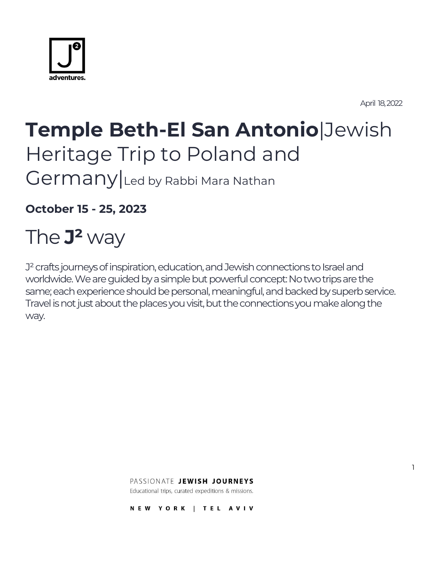

April 18, 2022

1

# **Temple Beth-El San Antonio**|Jewish Heritage Trip to Poland and Germany Led by Rabbi Mara Nathan

**October 15 - 25, 2023**

# The **J²** way

J<sup>2</sup> crafts journeys of inspiration, education, and Jewish connections to Israel and worldwide. We are guided by a simple but powerful concept: No two trips are the same; each experience should be personal, meaningful, and backed by superb service. Travel is not just about the places you visit, but the connections you make along the way.

PASSIONATE JEWISH JOURNEYS

Educational trips, curated expeditions & missions.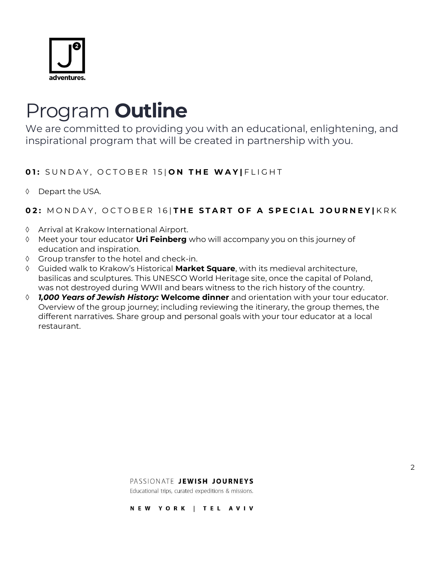

## Program **Outline**

We are committed to providing you with an educational, enlightening, and inspirational program that will be created in partnership with you.

### **01:** SUNDAY, OCTOBER 15| ON THE WAY | FLIGHT

 $\lozenge$  Depart the USA.

### **02: MONDAY, OCTOBER 16 | THE START OF A SPECIAL JOURNEY | KRK**

- Arrival at Krakow International Airport.
- Meet your tour educator **Uri Feinberg** who will accompany you on this journey of education and inspiration.
- Group transfer to the hotel and check-in.
- Guided walk to Krakow's Historical **Market Square**, with its medieval architecture, basilicas and sculptures. This UNESCO World Heritage site, once the capital of Poland, was not destroyed during WWII and bears witness to the rich history of the country.
- *1,000 Years of Jewish History:* **Welcome dinner** and orientation with your tour educator. Overview of the group journey; including reviewing the itinerary, the group themes, the different narratives. Share group and personal goals with your tour educator at a local restaurant.

#### PASSIONATE JEWISH JOURNEYS

Educational trips, curated expeditions & missions.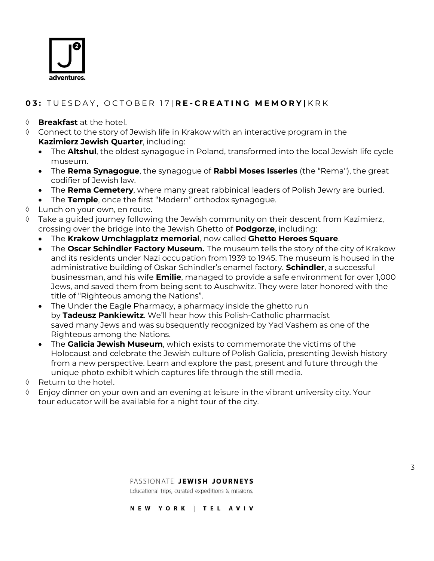

## **0 3 :** T U E S D A Y , O C T O B E R 1 7 | **R E - C R E A T I N G M E M O R Y |** K R K

#### **Breakfast** at the hotel.

- Connect to the story of Jewish life in Krakow with an interactive program in the **Kazimierz Jewish Quarter**, including:
	- The **Altshul**, the oldest synagogue in Poland, transformed into the local Jewish life cycle museum.
	- The **Rema Synagogue**, the synagogue of **Rabbi Moses Isserles** (the "Rema"), the great codifier of Jewish law.
	- The **Rema Cemetery**, where many great rabbinical leaders of Polish Jewry are buried.
	- The **Temple**, once the first "Modern" orthodox synagogue.
- Lunch on your own, en route.
- $\Diamond$  Take a guided journey following the Jewish community on their descent from Kazimierz, crossing over the bridge into the Jewish Ghetto of **Podgorze**, including:
	- The **Krakow Umchlagplatz memorial**, now called **Ghetto Heroes Square**.
	- The **Oscar Schindler Factory Museum.** The museum tells the story of the city of Krakow and its residents under Nazi occupation from 1939 to 1945. The museum is housed in the administrative building of Oskar Schindler's enamel factory. **Schindler**, a successful businessman, and his wife **Emilie**, managed to provide a safe environment for over 1,000 Jews, and saved them from being sent to Auschwitz. They were later honored with the title of "Righteous among the Nations".
	- The Under the Eagle Pharmacy, a pharmacy inside the ghetto run by **Tadeusz Pankiewitz**. We'll hear how this Polish-Catholic pharmacist saved many Jews and was subsequently recognized by Yad Vashem as one of the Righteous among the Nations.
	- The **Galicia Jewish Museum**, which exists to commemorate the victims of the Holocaust and celebrate the Jewish culture of Polish Galicia, presenting Jewish history from a new perspective. Learn and explore the past, present and future through the unique photo exhibit which captures life through the still media.
- $\Diamond$  Return to the hotel.
- $\Diamond$  Enjoy dinner on your own and an evening at leisure in the vibrant university city. Your tour educator will be available for a night tour of the city.

Educational trips, curated expeditions & missions.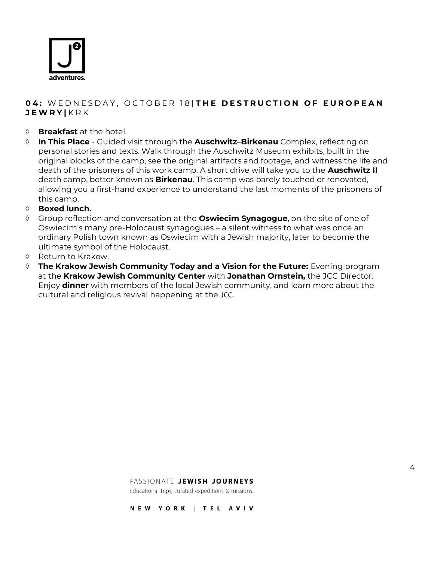

### **04: WEDNESDAY, OCTOBER 18 THE DESTRUCTION OF EUROPEAN J E W R Y |** K R K

- **Breakfast** at the hotel.
- **In This Place** Guided visit through the **Auschwitz–Birkenau** Complex, reflecting on personal stories and texts. Walk through the Auschwitz Museum exhibits, built in the original blocks of the camp, see the original artifacts and footage, and witness the life and death of the prisoners of this work camp. A short drive will take you to the **Auschwitz II**  death camp, better known as **Birkenau**. This camp was barely touched or renovated, allowing you a first-hand experience to understand the last moments of the prisoners of this camp.
- **Boxed lunch.**
- Group reflection and conversation at the **Oswiecim Synagogue**, on the site of one of Oswiecim's many pre-Holocaust synagogues – a silent witness to what was once an ordinary Polish town known as Oswiecim with a Jewish majority, later to become the ultimate symbol of the Holocaust.
- $\Diamond$  Return to Krakow.
- **The Krakow Jewish Community Today and a Vision for the Future:** Evening program at the **Krakow Jewish Community Center** with **Jonathan Ornstein,** the JCC Director. Enjoy **dinner** with members of the local Jewish community, and learn more about the cultural and religious revival happening at the JCC.

PASSIONATE JEWISH JOURNEYS

Educational trips, curated expeditions & missions.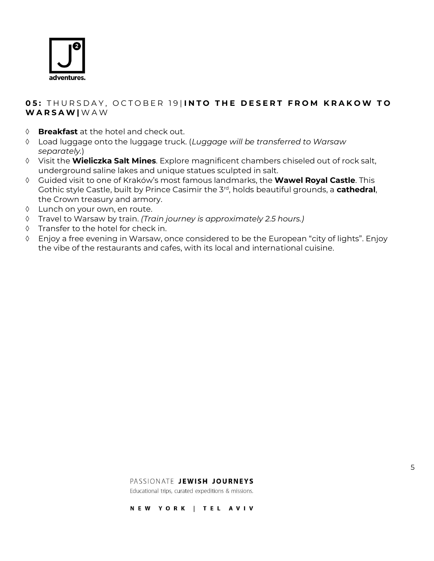

#### **05: THURSDAY, OCTOBER 19 INTO THE DESERT FROM KRAKOW TO W A R S A W |** W A W

- **Breakfast** at the hotel and check out.
- Load luggage onto the luggage truck. (*Luggage will be transferred to Warsaw separately.*)
- Visit the **Wieliczka Salt Mines**. Explore magnificent chambers chiseled out of rock salt, underground saline lakes and unique statues sculpted in salt.
- Guided visit to one of Kraków's most famous landmarks, the **Wawel Royal Castle**. This Gothic style Castle, built by Prince Casimir the 3rd, holds beautiful grounds, a **cathedral**, the Crown treasury and armory.
- Lunch on your own, en route.
- Travel to Warsaw by train. *(Train journey is approximately 2.5 hours.)*
- $\Diamond$  Transfer to the hotel for check in.
- Enjoy a free evening in Warsaw, once considered to be the European "city of lights". Enjoy the vibe of the restaurants and cafes, with its local and international cuisine.

#### PASSIONATE JEWISH JOURNEYS

Educational trips, curated expeditions & missions.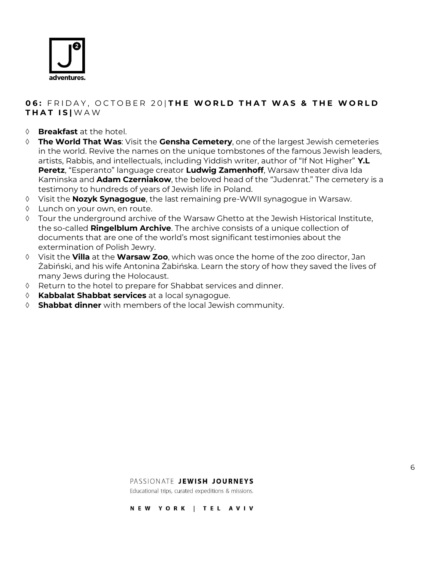

### **06: FRIDAY, OCTOBER 20 THE WORLD THAT WAS & THE WORLD T H A T I S |** W A W

- **Breakfast** at the hotel.
- **The World That Was**: Visit the **Gensha Cemetery**, one of the largest Jewish cemeteries in the world. Revive the names on the unique tombstones of the famous Jewish leaders, artists, Rabbis, and intellectuals, including Yiddish writer, author of "If Not Higher" **Y.L Peretz**, "Esperanto" language creator **Ludwig Zamenhoff**, Warsaw theater diva Ida Kaminska and **Adam Czerniakow**, the beloved head of the "Judenrat." The cemetery is a testimony to hundreds of years of Jewish life in Poland.
- Visit the **Nozyk Synagogue**, the last remaining pre-WWII synagogue in Warsaw.
- Lunch on your own, en route.
- Tour the underground archive of the Warsaw Ghetto at the Jewish Historical Institute, the so-called **Ringelblum Archive**. The archive consists of a unique collection of documents that are one of the world's most significant testimonies about the extermination of Polish Jewry.
- Visit the **Villa** at the **Warsaw Zoo**, which was once the home of the zoo director, Jan Żabiński, and his wife Antonina Żabińska. Learn the story of how they saved the lives of many Jews during the Holocaust.
- Return to the hotel to prepare for Shabbat services and dinner.
- **Kabbalat Shabbat services** at a local synagogue.
- **Shabbat dinner** with members of the local Jewish community.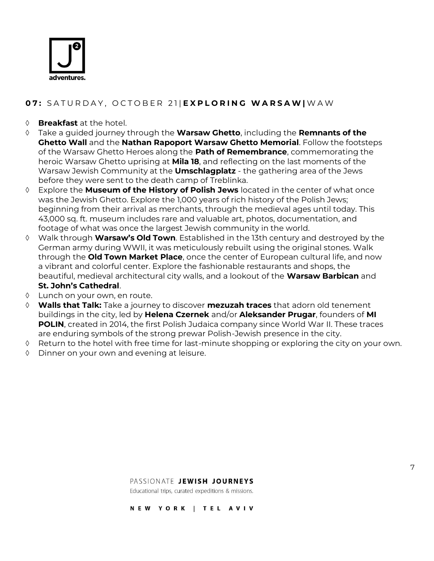

### **0 7 :** S A T U R D A Y , O C T O B E R 2 1 | **E X P L O R I N G W A R S A W |** W A W

#### **Breakfast** at the hotel.

- Take a guided journey through the **Warsaw Ghetto**, including the **Remnants of the Ghetto Wall** and the **Nathan Rapoport Warsaw Ghetto Memorial**. Follow the footsteps of the Warsaw Ghetto Heroes along the **Path of Remembrance**, commemorating the heroic Warsaw Ghetto uprising at **Mila 18**, and reflecting on the last moments of the Warsaw Jewish Community at the **Umschlagplatz** - the gathering area of the Jews before they were sent to the death camp of Treblinka.
- Explore the **Museum of the History of Polish Jews** located in the center of what once was the Jewish Ghetto. Explore the 1,000 years of rich history of the Polish Jews; beginning from their arrival as merchants, through the medieval ages until today. This 43,000 sq. ft. museum includes rare and valuable art, photos, documentation, and footage of what was once the largest Jewish community in the world.
- Walk through **Warsaw's Old Town**. Established in the 13th century and destroyed by the German army during WWII, it was meticulously rebuilt using the original stones. Walk through the **Old Town Market Place**, once the center of European cultural life, and now a vibrant and colorful center. Explore the fashionable restaurants and shops, the beautiful, medieval architectural city walls, and a lookout of the **Warsaw Barbican** and **St. John's Cathedral**.
- Lunch on your own, en route.
- **Walls that Talk:** Take a journey to discover **mezuzah traces** that adorn old tenement buildings in the city, led by **Helena Czernek** and/or **Aleksander Prugar**, founders of **MI POLIN**, created in 2014, the first Polish Judaica company since World War II. These traces are enduring symbols of the strong prewar Polish-Jewish presence in the city.
- $\Diamond$  Return to the hotel with free time for last-minute shopping or exploring the city on your own.
- Dinner on your own and evening at leisure.

#### PASSIONATE JEWISH JOURNEYS

Educational trips, curated expeditions & missions.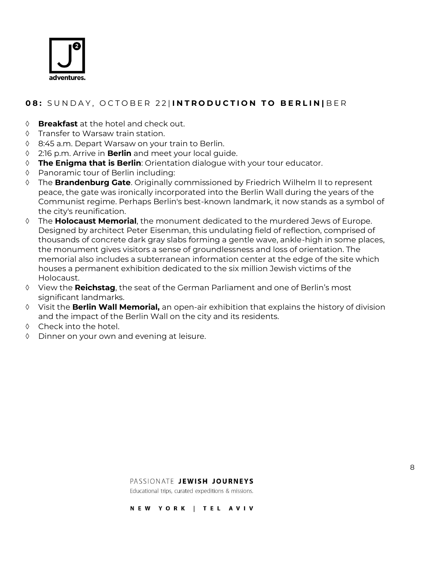

## **08:** SUNDAY, OCTOBER 22|INTRODUCTION TO BERLINIBER

- **Breakfast** at the hotel and check out.
- $\Diamond$  Transfer to Warsaw train station.
- 8:45 a.m. Depart Warsaw on your train to Berlin.
- 2:16 p.m. Arrive in **Berlin** and meet your local guide.
- **The Enigma that is Berlin**: Orientation dialogue with your tour educator.
- Panoramic tour of Berlin including:
- The **Brandenburg Gate**. Originally commissioned by Friedrich Wilhelm II to represent peace, the gate was ironically incorporated into the Berlin Wall during the years of the Communist regime. Perhaps Berlin's best-known landmark, it now stands as a symbol of the city's reunification.
- The **Holocaust Memorial**, the monument dedicated to the murdered Jews of Europe. Designed by architect Peter Eisenman, this undulating field of reflection, comprised of thousands of concrete dark gray slabs forming a gentle wave, ankle-high in some places, the monument gives visitors a sense of groundlessness and loss of orientation. The memorial also includes a subterranean information center at the edge of the site which houses a permanent exhibition dedicated to the six million Jewish victims of the Holocaust.
- View the **Reichstag**, the seat of the German Parliament and one of Berlin's most significant landmarks.
- Visit the **Berlin Wall Memorial,** an open-air exhibition that explains the history of division and the impact of the Berlin Wall on the city and its residents.
- $\Diamond$  Check into the hotel.
- Dinner on your own and evening at leisure.

Educational trips, curated expeditions & missions.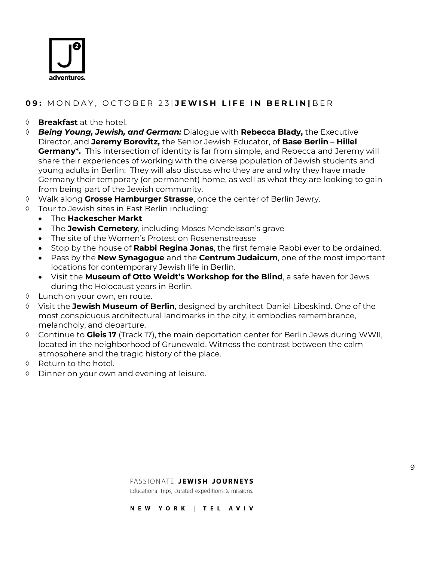

### **0 9 :** M O N D A Y , O C T O B E R 2 3 | **J E W I S H L I F E I N B E R L I N |** B E R

#### **Breakfast** at the hotel.

- *Being Young, Jewish, and German:* Dialogue with **Rebecca Blady,** the Executive Director, and **Jeremy Borovitz,** the Senior Jewish Educator, of **Base Berlin – Hillel Germany\*.** This intersection of identity is far from simple, and Rebecca and Jeremy will share their experiences of working with the diverse population of Jewish students and young adults in Berlin. They will also discuss who they are and why they have made Germany their temporary (or permanent) home, as well as what they are looking to gain from being part of the Jewish community.
- Walk along **Grosse Hamburger Strasse**, once the center of Berlin Jewry.
- Tour to Jewish sites in East Berlin including:
	- The **Hackescher Markt**
	- The **Jewish Cemetery**, including Moses Mendelsson's grave
	- The site of the Women's Protest on Rosenenstreasse
	- Stop by the house of **Rabbi Regina Jonas**, the first female Rabbi ever to be ordained.
	- Pass by the **New Synagogue** and the **Centrum Judaicum**, one of the most important locations for contemporary Jewish life in Berlin.
	- Visit the **Museum of Otto Weidt's Workshop for the Blind**, a safe haven for Jews during the Holocaust years in Berlin.
- Lunch on your own, en route.
- Visit the **Jewish Museum of Berlin**, designed by architect Daniel Libeskind. One of the most conspicuous architectural landmarks in the city, it embodies remembrance, melancholy, and departure.
- Continue to **Gleis 17** (Track 17), the main deportation center for Berlin Jews during WWII, located in the neighborhood of Grunewald. Witness the contrast between the calm atmosphere and the tragic history of the place.
- $\Diamond$  Return to the hotel.
- Dinner on your own and evening at leisure.

#### PASSIONATE JEWISH JOURNEYS

Educational trips, curated expeditions & missions.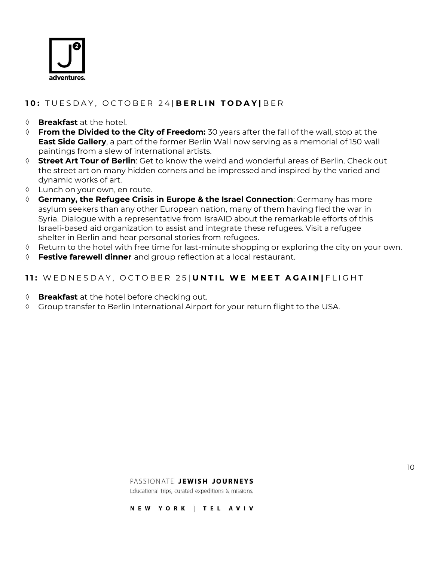

## 10: TUESDAY, OCTOBER 24 | BERLIN TODAY | BER

- **Breakfast** at the hotel.
- **From the Divided to the City of Freedom:** 30 years after the fall of the wall, stop at the **East Side Gallery**, a part of the former Berlin Wall now serving as a memorial of 150 wall paintings from a slew of international artists.
- **Street Art Tour of Berlin**: Get to know the weird and wonderful areas of Berlin. Check out the street art on many hidden corners and be impressed and inspired by the varied and dynamic works of art.
- Lunch on your own, en route.
- **Germany, the Refugee Crisis in Europe & the Israel Connection**: Germany has more asylum seekers than any other European nation, many of them having fled the war in Syria. Dialogue with a representative from IsraAID about the remarkable efforts of this Israeli-based aid organization to assist and integrate these refugees. Visit a refugee shelter in Berlin and hear personal stories from refugees.
- $\Diamond$  Return to the hotel with free time for last-minute shopping or exploring the city on your own.
- **Festive farewell dinner** and group reflection at a local restaurant.

#### **11:** WEDNESDAY, OCTOBER 25 | UNTIL WE MEET AGAIN | FLIGHT

- **Breakfast** at the hotel before checking out.
- Group transfer to Berlin International Airport for your return flight to the USA.

Educational trips, curated expeditions & missions.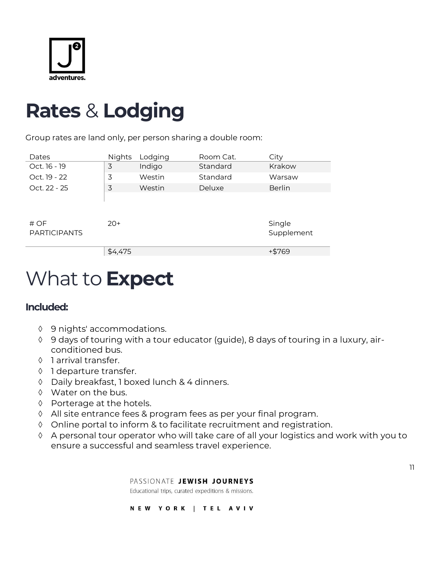

## **Rates** & **Lodging**

Group rates are land only, per person sharing a double room:

| Dates               | <b>Nights</b> | Lodging | Room Cat. | City          |
|---------------------|---------------|---------|-----------|---------------|
| Oct. 16 - 19        | 3             | Indigo  | Standard  | Krakow        |
| Oct. 19 - 22        | 3             | Westin  | Standard  | Warsaw        |
| Oct. 22 - 25        | 3             | Westin  | Deluxe    | <b>Berlin</b> |
|                     |               |         |           |               |
|                     |               |         |           |               |
| # OF                | $20+$         |         |           | Single        |
| <b>PARTICIPANTS</b> |               |         |           | Supplement    |
|                     |               |         |           |               |
|                     | \$4,475       |         |           | +\$769        |

# What to **Expect**

## **Included:**

- 9 nights' accommodations.
- 9 days of touring with a tour educator (guide), 8 days of touring in a luxury, airconditioned bus.
- 1 arrival transfer.
- ♦ 1 departure transfer.
- Daily breakfast, 1 boxed lunch & 4 dinners.
- Water on the bus.
- ♦ Porterage at the hotels.
- All site entrance fees & program fees as per your final program.
- Online portal to inform & to facilitate recruitment and registration.
- A personal tour operator who will take care of all your logistics and work with you to ensure a successful and seamless travel experience.

PASSIONATE JEWISH JOURNEYS

Educational trips, curated expeditions & missions.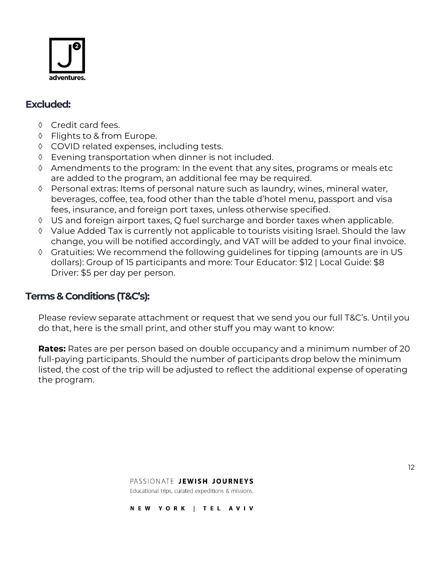

## **Excluded:**

- ♦ Credit card fees.
- ♦ Flights to & from Europe.
- ♦ COVID related expenses, including tests.
- Evening transportation when dinner is not included.
- $\Diamond$  Amendments to the program: In the event that any sites, programs or meals etc are added to the program, an additional fee may be required.
- Personal extras: Items of personal nature such as laundry, wines, mineral water, beverages, coffee, tea, food other than the table d'hotel menu, passport and visa fees, insurance, and foreign port taxes, unless otherwise specified.
- US and foreign airport taxes, Q fuel surcharge and border taxes when applicable.
- Value Added Tax is currently not applicable to tourists visiting Israel. Should the law change, you will be notified accordingly, and VAT will be added to your final invoice.
- Gratuities: We recommend the following guidelines for tipping (amounts are in US dollars): Group of 15 participants and more: Tour Educator: \$12 | Local Guide: \$8 Driver: \$5 per day per person.

## **Terms & Conditions (T&C's):**

Please review separate attachment or request that we send you our full T&C's. Until you do that, here is the small print, and other stuff you may want to know:

**Rates:** Rates are per person based on double occupancy and a minimum number of 20 full-paying participants. Should the number of participants drop below the minimum listed, the cost of the trip will be adjusted to reflect the additional expense of operating the program.

#### PASSIONATE JEWISH JOURNEYS

Educational trips, curated expeditions & missions.